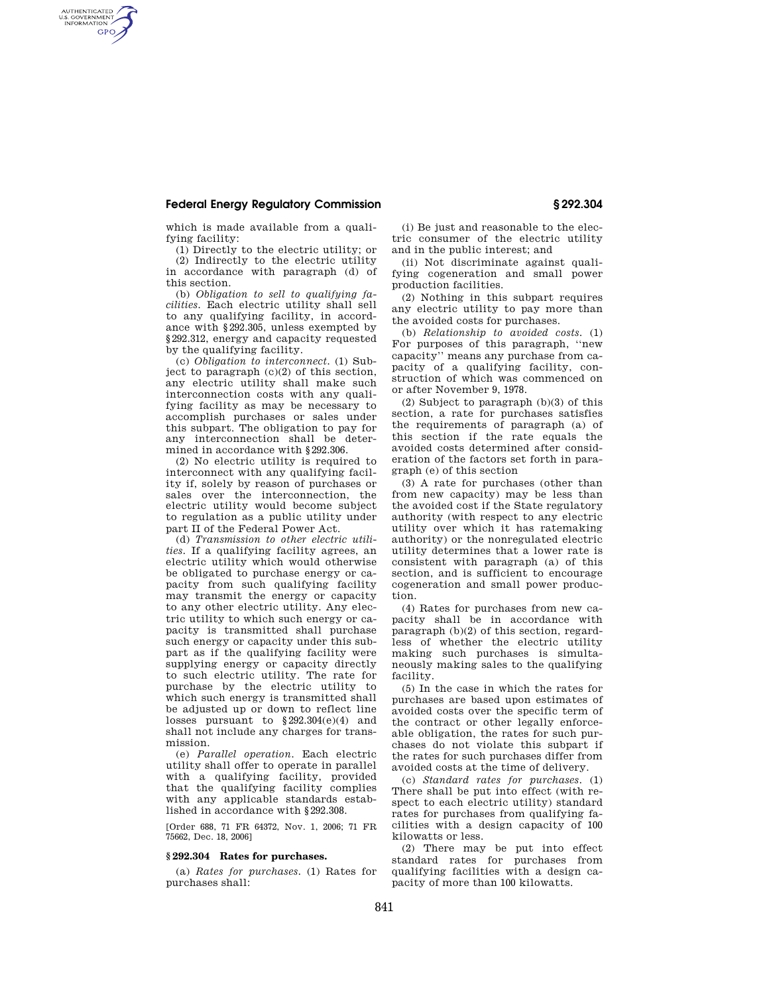### **Federal Energy Regulatory Commission § 292.304**

AUTHENTICATED<br>U.S. GOVERNMENT<br>INFORMATION **GPO** 

which is made available from a qualifying facility:

(1) Directly to the electric utility; or (2) Indirectly to the electric utility in accordance with paragraph (d) of

this section. (b) *Obligation to sell to qualifying facilities.* Each electric utility shall sell to any qualifying facility, in accordance with §292.305, unless exempted by §292.312, energy and capacity requested by the qualifying facility.

(c) *Obligation to interconnect.* (1) Subject to paragraph (c)(2) of this section, any electric utility shall make such interconnection costs with any qualifying facility as may be necessary to accomplish purchases or sales under this subpart. The obligation to pay for any interconnection shall be determined in accordance with §292.306.

(2) No electric utility is required to interconnect with any qualifying facility if, solely by reason of purchases or sales over the interconnection, the electric utility would become subject to regulation as a public utility under part II of the Federal Power Act.

(d) *Transmission to other electric utilities.* If a qualifying facility agrees, an electric utility which would otherwise be obligated to purchase energy or capacity from such qualifying facility may transmit the energy or capacity to any other electric utility. Any electric utility to which such energy or capacity is transmitted shall purchase such energy or capacity under this subpart as if the qualifying facility were supplying energy or capacity directly to such electric utility. The rate for purchase by the electric utility to which such energy is transmitted shall be adjusted up or down to reflect line losses pursuant to §292.304(e)(4) and shall not include any charges for transmission.

(e) *Parallel operation.* Each electric utility shall offer to operate in parallel with a qualifying facility, provided that the qualifying facility complies with any applicable standards established in accordance with §292.308.

[Order 688, 71 FR 64372, Nov. 1, 2006; 71 FR 75662, Dec. 18, 2006]

#### **§ 292.304 Rates for purchases.**

(a) *Rates for purchases.* (1) Rates for purchases shall:

(i) Be just and reasonable to the electric consumer of the electric utility and in the public interest; and

(ii) Not discriminate against qualifying cogeneration and small power production facilities.

(2) Nothing in this subpart requires any electric utility to pay more than the avoided costs for purchases.

(b) *Relationship to avoided costs.* (1) For purposes of this paragraph, ''new capacity'' means any purchase from capacity of a qualifying facility, construction of which was commenced on or after November 9, 1978.

(2) Subject to paragraph (b)(3) of this section, a rate for purchases satisfies the requirements of paragraph (a) of this section if the rate equals the avoided costs determined after consideration of the factors set forth in paragraph (e) of this section

(3) A rate for purchases (other than from new capacity) may be less than the avoided cost if the State regulatory authority (with respect to any electric utility over which it has ratemaking authority) or the nonregulated electric utility determines that a lower rate is consistent with paragraph (a) of this section, and is sufficient to encourage cogeneration and small power production.

(4) Rates for purchases from new capacity shall be in accordance with paragraph (b)(2) of this section, regardless of whether the electric utility making such purchases is simultaneously making sales to the qualifying facility.

(5) In the case in which the rates for purchases are based upon estimates of avoided costs over the specific term of the contract or other legally enforceable obligation, the rates for such purchases do not violate this subpart if the rates for such purchases differ from avoided costs at the time of delivery.

(c) *Standard rates for purchases.* (1) There shall be put into effect (with respect to each electric utility) standard rates for purchases from qualifying facilities with a design capacity of 100 kilowatts or less.

(2) There may be put into effect standard rates for purchases from qualifying facilities with a design capacity of more than 100 kilowatts.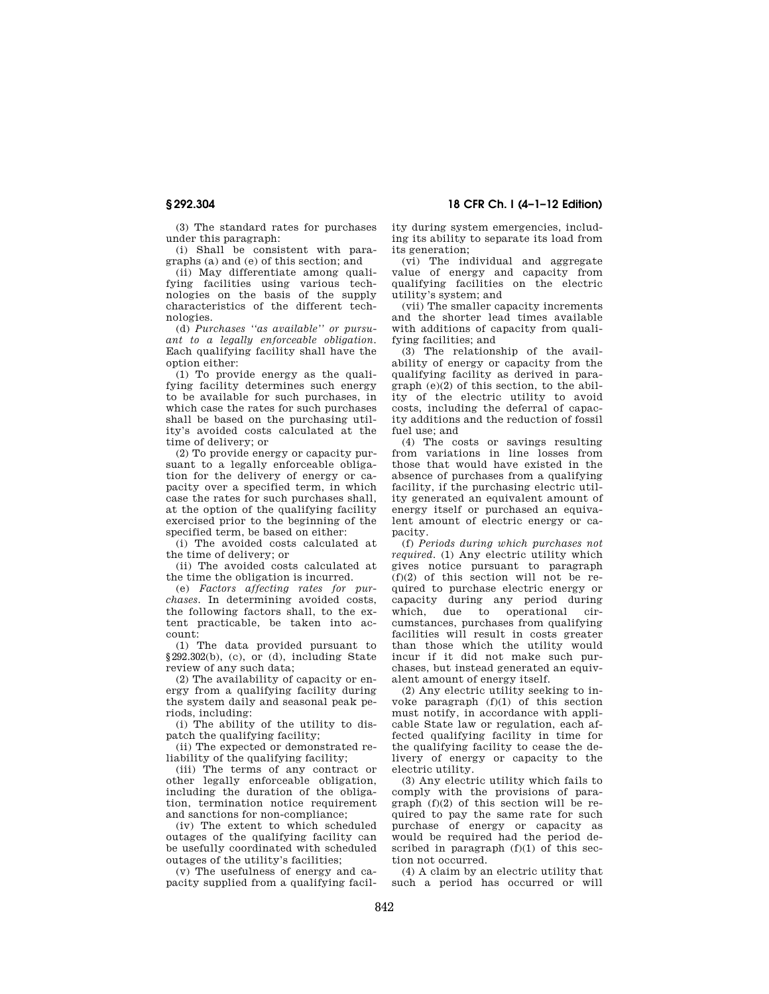(3) The standard rates for purchases under this paragraph:

(i) Shall be consistent with paragraphs (a) and (e) of this section; and

(ii) May differentiate among qualifying facilities using various technologies on the basis of the supply characteristics of the different technologies.

(d) *Purchases ''as available'' or pursuant to a legally enforceable obligation.*  Each qualifying facility shall have the option either:

(1) To provide energy as the qualifying facility determines such energy to be available for such purchases, in which case the rates for such purchases shall be based on the purchasing utility's avoided costs calculated at the time of delivery; or

(2) To provide energy or capacity pursuant to a legally enforceable obligation for the delivery of energy or capacity over a specified term, in which case the rates for such purchases shall, at the option of the qualifying facility exercised prior to the beginning of the specified term, be based on either:

(i) The avoided costs calculated at the time of delivery; or

(ii) The avoided costs calculated at the time the obligation is incurred.

(e) *Factors affecting rates for purchases.* In determining avoided costs, the following factors shall, to the extent practicable, be taken into account:

(1) The data provided pursuant to  $§292.302(b)$ , (c), or (d), including State review of any such data;

(2) The availability of capacity or energy from a qualifying facility during the system daily and seasonal peak periods, including:

(i) The ability of the utility to dispatch the qualifying facility;

(ii) The expected or demonstrated reliability of the qualifying facility;

(iii) The terms of any contract or other legally enforceable obligation, including the duration of the obligation, termination notice requirement and sanctions for non-compliance;

(iv) The extent to which scheduled outages of the qualifying facility can be usefully coordinated with scheduled outages of the utility's facilities;

(v) The usefulness of energy and capacity supplied from a qualifying facility during system emergencies, including its ability to separate its load from its generation;

(vi) The individual and aggregate value of energy and capacity from qualifying facilities on the electric utility's system; and

(vii) The smaller capacity increments and the shorter lead times available with additions of capacity from qualifying facilities; and

(3) The relationship of the availability of energy or capacity from the qualifying facility as derived in paragraph  $(e)(2)$  of this section, to the ability of the electric utility to avoid costs, including the deferral of capacity additions and the reduction of fossil fuel use; and

(4) The costs or savings resulting from variations in line losses from those that would have existed in the absence of purchases from a qualifying facility, if the purchasing electric utility generated an equivalent amount of energy itself or purchased an equivalent amount of electric energy or capacity.

(f) *Periods during which purchases not required.* (1) Any electric utility which gives notice pursuant to paragraph (f)(2) of this section will not be required to purchase electric energy or capacity during any period during<br>which. due to operational cirdue to operational circumstances, purchases from qualifying facilities will result in costs greater than those which the utility would incur if it did not make such purchases, but instead generated an equivalent amount of energy itself.

(2) Any electric utility seeking to invoke paragraph  $(f)(1)$  of this section must notify, in accordance with applicable State law or regulation, each affected qualifying facility in time for the qualifying facility to cease the delivery of energy or capacity to the electric utility.

(3) Any electric utility which fails to comply with the provisions of paragraph (f)(2) of this section will be required to pay the same rate for such purchase of energy or capacity as would be required had the period described in paragraph  $(f)(1)$  of this section not occurred.

(4) A claim by an electric utility that such a period has occurred or will